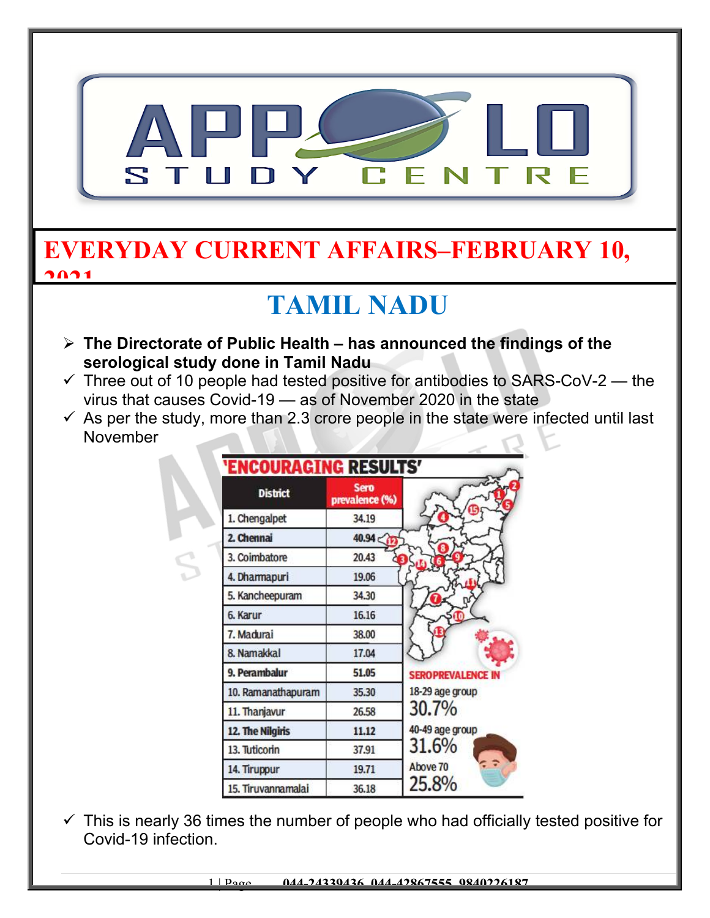

### **EVERYDAY CURRENT AFFAIRS–FEBRUARY 10, 2021**

### **TAMIL NADU**

- **The Directorate of Public Health has announced the findings of the serological study done in Tamil Nadu**
- $\checkmark$  Three out of 10 people had tested positive for antibodies to SARS-CoV-2 the virus that causes Covid-19 — as of November 2020 in the state
- $\checkmark$  As per the study, more than 2.3 crore people in the state were infected until last November

| <b>'ENCOURAGING RESULTS'</b> |                               |                          |
|------------------------------|-------------------------------|--------------------------|
| <b>District</b>              | <b>Sero</b><br>prevalence (%) |                          |
| 1. Chengalpet                | 34.19                         |                          |
| 2. Chennai                   | 40.94                         |                          |
| 3. Coimbatore                | 20.43                         |                          |
| 4. Dharmapuri                | 19.06                         |                          |
| 5. Kancheepuram              | 34.30                         |                          |
| 6. Karur                     | 16.16                         |                          |
| 7. Madurai                   | 38.00                         |                          |
| 8. Namakkal                  | 17.04                         |                          |
| 9. Perambalur                | 51.05                         | <b>SEROPREVALENCE IN</b> |
| 10. Ramanathapuram           | 35.30                         | 18-29 age group          |
| 11. Thanjavur                | 26.58                         | 30.7%                    |
| 12. The Nilgiris             | 11.12                         | 40-49 age group          |
| 13. Tuticorin                | 37.91                         | 31.6%                    |
| 14. Tiruppur                 | 19.71                         | Above 70                 |
| 15. Tiruvannamalai           | 36.18                         | 25.8%                    |

 $\checkmark$  This is nearly 36 times the number of people who had officially tested positive for Covid-19 infection.

1 | Page **044-24339436, 044-42867555, 9840226187**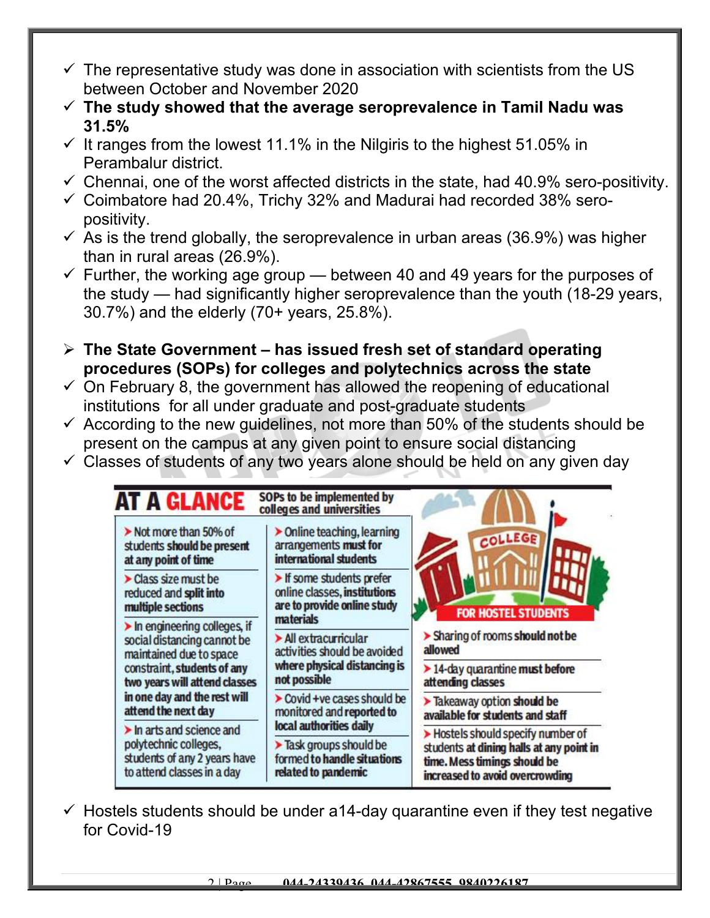- $\checkmark$  The representative study was done in association with scientists from the US between October and November 2020
- **The study showed that the average seroprevalence in Tamil Nadu was 31.5%**
- $\checkmark$  It ranges from the lowest 11.1% in the Nilgiris to the highest 51.05% in Perambalur district.
- $\checkmark$  Chennai, one of the worst affected districts in the state, had 40.9% sero-positivity.
- $\checkmark$  Coimbatore had 20.4%, Trichy 32% and Madurai had recorded 38% seropositivity.
- $\checkmark$  As is the trend globally, the seroprevalence in urban areas (36.9%) was higher than in rural areas (26.9%).
- $\checkmark$  Further, the working age group between 40 and 49 years for the purposes of the study — had significantly higher seroprevalence than the youth (18-29 years, 30.7%) and the elderly (70+ years, 25.8%).
- **The State Government has issued fresh set of standard operating procedures (SOPs) for colleges and polytechnics across the state**
- $\checkmark$  On February 8, the government has allowed the reopening of educational institutions for all under graduate and post-graduate students
- $\checkmark$  According to the new quidelines, not more than 50% of the students should be present on the campus at any given point to ensure social distancing
- $\checkmark$  Classes of students of any two years alone should be held on any given day



 $\checkmark$  Hostels students should be under a14-day quarantine even if they test negative for Covid-19

2 | Page **044-24339436, 044-42867555, 9840226187**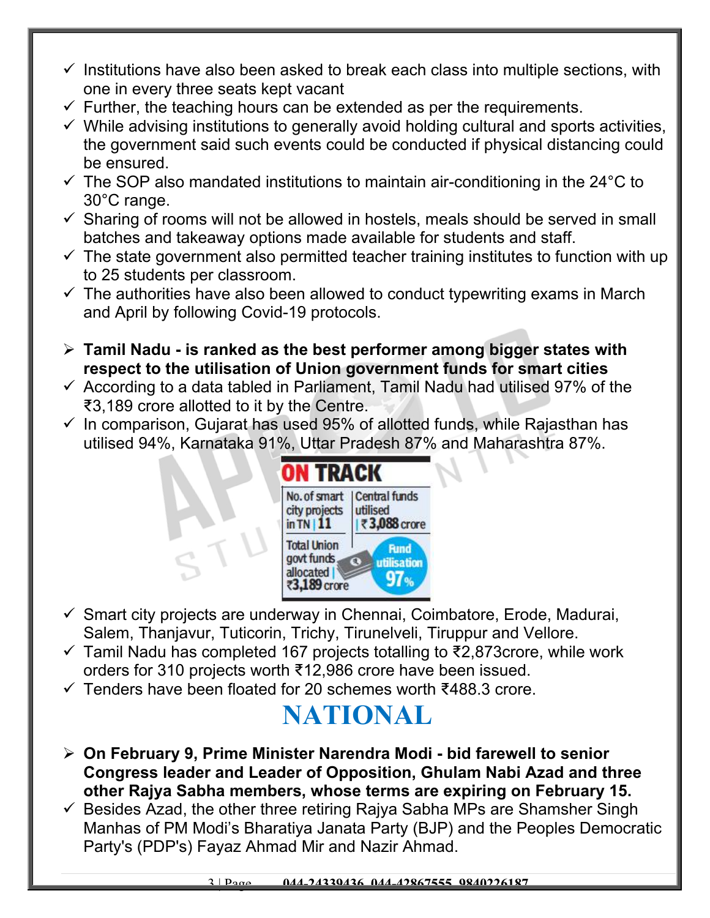- $\checkmark$  Institutions have also been asked to break each class into multiple sections, with one in every three seats kept vacant
- $\checkmark$  Further, the teaching hours can be extended as per the requirements.
- $\checkmark$  While advising institutions to generally avoid holding cultural and sports activities, the government said such events could be conducted if physical distancing could be ensured.
- $\checkmark$  The SOP also mandated institutions to maintain air-conditioning in the 24 $\degree$ C to 30°C range.
- $\checkmark$  Sharing of rooms will not be allowed in hostels, meals should be served in small batches and takeaway options made available for students and staff.
- $\checkmark$  The state government also permitted teacher training institutes to function with up to 25 students per classroom.
- $\checkmark$  The authorities have also been allowed to conduct typewriting exams in March and April by following Covid-19 protocols.
- **Tamil Nadu is ranked as the best performer among bigger states with respect to the utilisation of Union government funds for smart cities**
- $\checkmark$  According to a data tabled in Parliament, Tamil Nadu had utilised 97% of the ₹3,189 crore allotted to it by the Centre.
- $\checkmark$  In comparison, Gujarat has used 95% of allotted funds, while Rajasthan has utilised 94%, Karnataka 91%, Uttar Pradesh 87% and Maharashtra 87%.



- $\checkmark$  Smart city projects are underway in Chennai, Coimbatore, Erode, Madurai, Salem, Thanjavur, Tuticorin, Trichy, Tirunelveli, Tiruppur and Vellore.
- $\checkmark$  Tamil Nadu has completed 167 projects totalling to ₹2,873 crore, while work orders for 310 projects worth ₹12,986 crore have been issued.
- Tenders have been floated for 20 schemes worth ₹488.3 crore.

### **NATIONAL**

- **On February 9, Prime Minister Narendra Modi bid farewell to senior Congress leader and Leader of Opposition, Ghulam Nabi Azad and three other Rajya Sabha members, whose terms are expiring on February 15.**
- $\checkmark$  Besides Azad, the other three retiring Rajya Sabha MPs are Shamsher Singh Manhas of PM Modi's Bharatiya Janata Party (BJP) and the Peoples Democratic Party's (PDP's) Fayaz Ahmad Mir and Nazir Ahmad.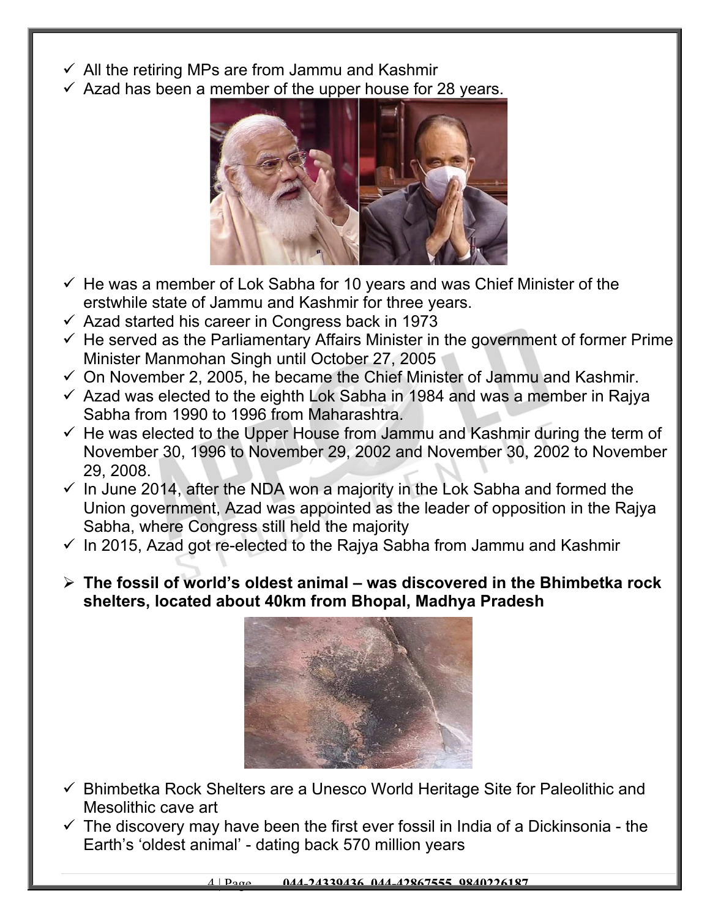- $\checkmark$  All the retiring MPs are from Jammu and Kashmir
- $\checkmark$  Azad has been a member of the upper house for 28 years.



- $\checkmark$  He was a member of Lok Sabha for 10 years and was Chief Minister of the erstwhile state of Jammu and Kashmir for three years.
- $\checkmark$  Azad started his career in Congress back in 1973
- $\checkmark$  He served as the Parliamentary Affairs Minister in the government of former Prime Minister Manmohan Singh until October 27, 2005
- $\checkmark$  On November 2, 2005, he became the Chief Minister of Jammu and Kashmir.
- $\checkmark$  Azad was elected to the eighth Lok Sabha in 1984 and was a member in Rajya Sabha from 1990 to 1996 from Maharashtra.
- $\checkmark$  He was elected to the Upper House from Jammu and Kashmir during the term of November 30, 1996 to November 29, 2002 and November 30, 2002 to November 29, 2008.
- $\checkmark$  In June 2014, after the NDA won a majority in the Lok Sabha and formed the Union government, Azad was appointed as the leader of opposition in the Rajya Sabha, where Congress still held the majority
- $\checkmark$  In 2015, Azad got re-elected to the Rajya Sabha from Jammu and Kashmir
- **The fossil of world's oldest animal was discovered in the Bhimbetka rock shelters, located about 40km from Bhopal, Madhya Pradesh**



- $\checkmark$  Bhimbetka Rock Shelters are a Unesco World Heritage Site for Paleolithic and Mesolithic cave art
- $\checkmark$  The discovery may have been the first ever fossil in India of a Dickinsonia the Earth's 'oldest animal' - dating back 570 million years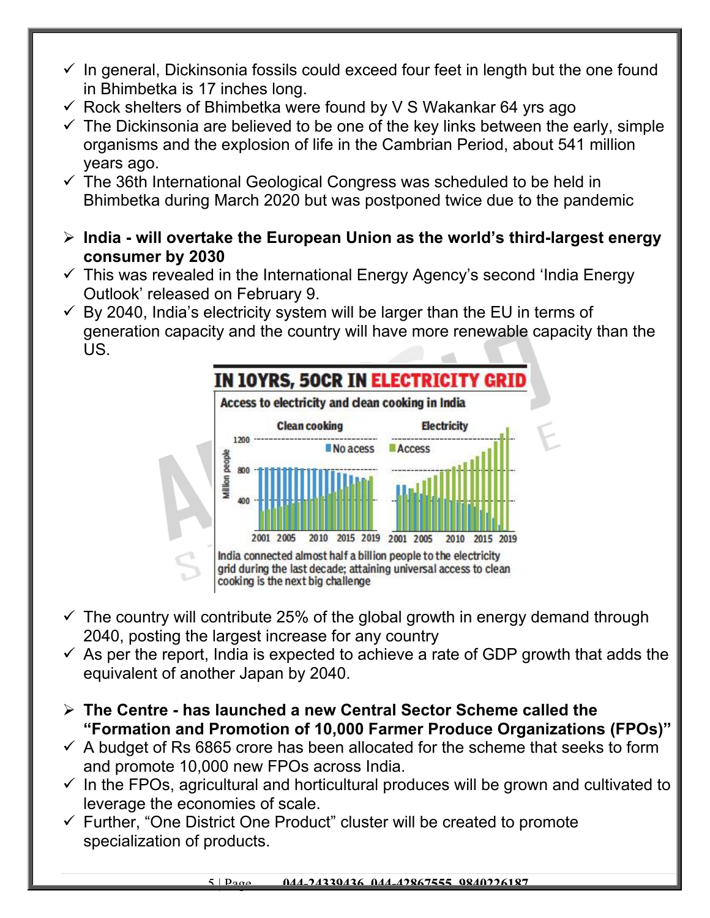- $\checkmark$  In general, Dickinsonia fossils could exceed four feet in length but the one found in Bhimbetka is 17 inches long.
- $\checkmark$  Rock shelters of Bhimbetka were found by V S Wakankar 64 yrs ago
- $\checkmark$  The Dickinsonia are believed to be one of the key links between the early, simple organisms and the explosion of life in the Cambrian Period, about 541 million years ago.
- $\checkmark$  The 36th International Geological Congress was scheduled to be held in Bhimbetka during March 2020 but was postponed twice due to the pandemic
- **India will overtake the European Union as the world's third-largest energy consumer by 2030**
- $\checkmark$  This was revealed in the International Energy Agency's second 'India Energy Outlook' released on February 9.
- $\checkmark$  By 2040, India's electricity system will be larger than the EU in terms of generation capacity and the country will have more renewable capacity than the US.



- $\checkmark$  The country will contribute 25% of the global growth in energy demand through 2040, posting the largest increase for any country
- $\checkmark$  As per the report, India is expected to achieve a rate of GDP growth that adds the equivalent of another Japan by 2040.
- **The Centre has launched a new Central Sector Scheme called the "Formation and Promotion of 10,000 Farmer Produce Organizations (FPOs)"**
- $\checkmark$  A budget of Rs 6865 crore has been allocated for the scheme that seeks to form and promote 10,000 new FPOs across India.
- $\checkmark$  In the FPOs, agricultural and horticultural produces will be grown and cultivated to leverage the economies of scale.
- $\checkmark$  Further, "One District One Product" cluster will be created to promote specialization of products.

#### 5 | Page **044-24339436, 044-42867555, 9840226187**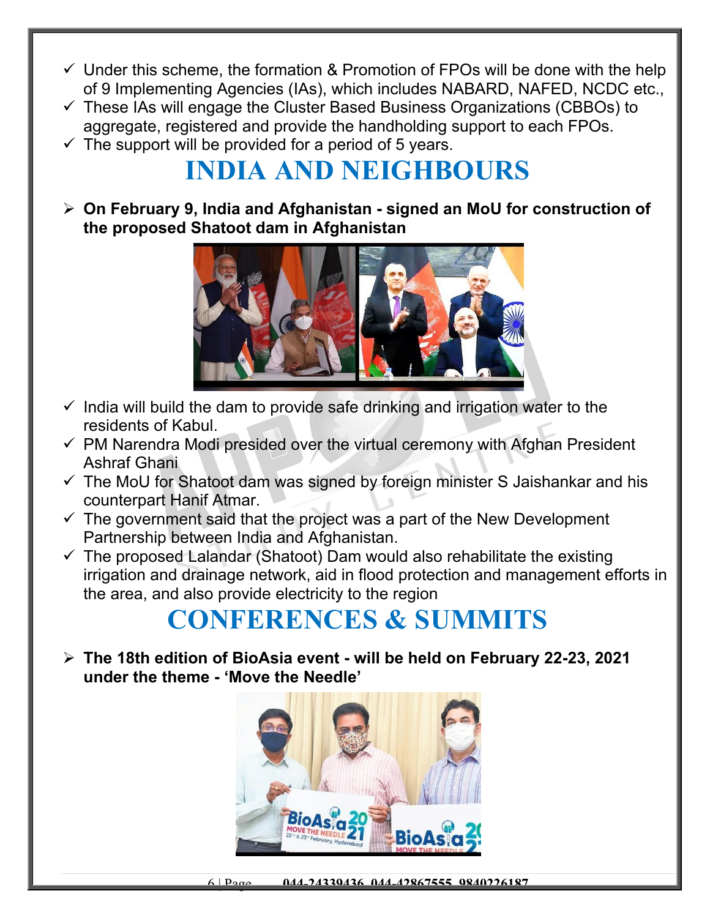- $\checkmark$  Under this scheme, the formation & Promotion of FPOs will be done with the help of 9 Implementing Agencies (IAs), which includes NABARD, NAFED, NCDC etc.,
- $\checkmark$  These IAs will engage the Cluster Based Business Organizations (CBBOs) to aggregate, registered and provide the handholding support to each FPOs.
- $\checkmark$  The support will be provided for a period of 5 years.

### **INDIA AND NEIGHBOURS**

 **On February 9, India and Afghanistan - signed an MoU for construction of the proposed Shatoot dam in Afghanistan**



- $\checkmark$  India will build the dam to provide safe drinking and irrigation water to the residents of Kabul.
- $\checkmark$  PM Narendra Modi presided over the virtual ceremony with Afghan President Ashraf Ghani
- $\checkmark$  The MoU for Shatoot dam was signed by foreign minister S Jaishankar and his counterpart Hanif Atmar.
- $\checkmark$  The government said that the project was a part of the New Development Partnership between India and Afghanistan.
- $\checkmark$  The proposed Lalandar (Shatoot) Dam would also rehabilitate the existing irrigation and drainage network, aid in flood protection and management efforts in the area, and also provide electricity to the region

# **CONFERENCES & SUMMITS**

 **The 18th edition of BioAsia event - will be held on February 22-23, 2021 under the theme - 'Move the Needle'**